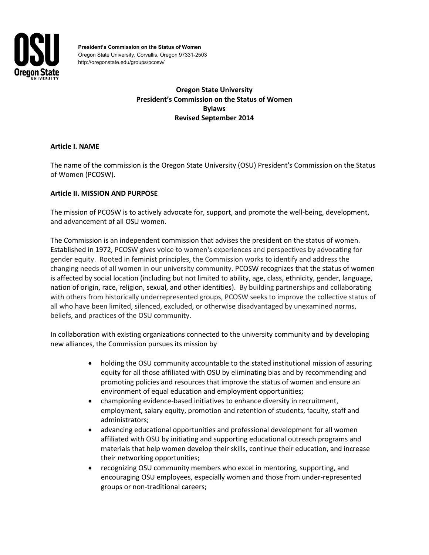

**President's Commission on the Status of Women** Oregon State University, Corvallis, Oregon 97331-2503 http://oregonstate.edu/groups/pcosw/

# **Oregon State University President's Commission on the Status of Women Bylaws Revised September 2014**

## **Article I. NAME**

The name of the commission is the Oregon State University (OSU) President's Commission on the Status of Women (PCOSW).

## **Article II. MISSION AND PURPOSE**

The mission of PCOSW is to actively advocate for, support, and promote the well-being, development, and advancement of all OSU women.

The Commission is an independent commission that advises the president on the status of women. Established in 1972, PCOSW gives voice to women's experiences and perspectives by advocating for gender equity. Rooted in feminist principles, the Commission works to identify and address the changing needs of all women in our university community. PCOSW recognizes that the status of women is affected by social location (including but not limited to ability, age, class, ethnicity, gender, language, nation of origin, race, religion, sexual, and other identities). By building partnerships and collaborating with others from historically underrepresented groups, PCOSW seeks to improve the collective status of all who have been limited, silenced, excluded, or otherwise disadvantaged by unexamined norms, beliefs, and practices of the OSU community.

In collaboration with existing organizations connected to the university community and by developing new alliances, the Commission pursues its mission by

- holding the OSU community accountable to the stated institutional mission of assuring equity for all those affiliated with OSU by eliminating bias and by recommending and promoting policies and resources that improve the status of women and ensure an environment of equal education and employment opportunities;
- championing evidence-based initiatives to enhance diversity in recruitment, employment, salary equity, promotion and retention of students, faculty, staff and administrators;
- advancing educational opportunities and professional development for all women affiliated with OSU by initiating and supporting educational outreach programs and materials that help women develop their skills, continue their education, and increase their networking opportunities;
- recognizing OSU community members who excel in mentoring, supporting, and encouraging OSU employees, especially women and those from under-represented groups or non-traditional careers;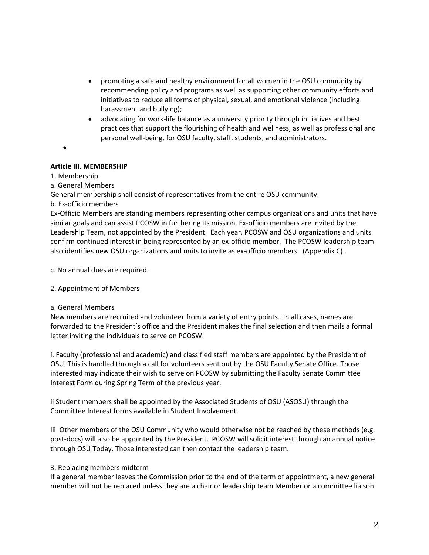- promoting a safe and healthy environment for all women in the OSU community by recommending policy and programs as well as supporting other community efforts and initiatives to reduce all forms of physical, sexual, and emotional violence (including harassment and bullying);
- advocating for work-life balance as a university priority through initiatives and best practices that support the flourishing of health and wellness, as well as professional and personal well-being, for OSU faculty, staff, students, and administrators.
- •

## **Article III. MEMBERSHIP**

## 1. Membership

a. General Members

General membership shall consist of representatives from the entire OSU community.

b. Ex-officio members

Ex-Officio Members are standing members representing other campus organizations and units that have similar goals and can assist PCOSW in furthering its mission. Ex-officio members are invited by the Leadership Team, not appointed by the President. Each year, PCOSW and OSU organizations and units confirm continued interest in being represented by an ex-officio member. The PCOSW leadership team also identifies new OSU organizations and units to invite as ex-officio members. (Appendix C) .

c. No annual dues are required.

2. Appointment of Members

### a. General Members

New members are recruited and volunteer from a variety of entry points. In all cases, names are forwarded to the President's office and the President makes the final selection and then mails a formal letter inviting the individuals to serve on PCOSW.

i. Faculty (professional and academic) and classified staff members are appointed by the President of OSU. This is handled through a call for volunteers sent out by the OSU Faculty Senate Office. Those interested may indicate their wish to serve on PCOSW by submitting the Faculty Senate Committee Interest Form during Spring Term of the previous year.

ii Student members shall be appointed by the Associated Students of OSU (ASOSU) through the Committee Interest forms available in Student Involvement.

Iii Other members of the OSU Community who would otherwise not be reached by these methods (e.g. post-docs) will also be appointed by the President. PCOSW will solicit interest through an annual notice through OSU Today. Those interested can then contact the leadership team.

# 3. Replacing members midterm

If a general member leaves the Commission prior to the end of the term of appointment, a new general member will not be replaced unless they are a chair or leadership team Member or a committee liaison.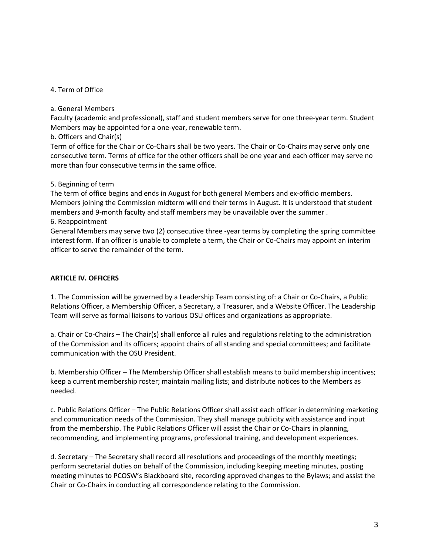### 4. Term of Office

### a. General Members

Faculty (academic and professional), staff and student members serve for one three-year term. Student Members may be appointed for a one-year, renewable term.

### b. Officers and Chair(s)

Term of office for the Chair or Co-Chairs shall be two years. The Chair or Co-Chairs may serve only one consecutive term. Terms of office for the other officers shall be one year and each officer may serve no more than four consecutive terms in the same office.

## 5. Beginning of term

The term of office begins and ends in August for both general Members and ex-officio members. Members joining the Commission midterm will end their terms in August. It is understood that student members and 9-month faculty and staff members may be unavailable over the summer .

## 6. Reappointment

General Members may serve two (2) consecutive three -year terms by completing the spring committee interest form. If an officer is unable to complete a term, the Chair or Co-Chairs may appoint an interim officer to serve the remainder of the term.

## **ARTICLE IV. OFFICERS**

1. The Commission will be governed by a Leadership Team consisting of: a Chair or Co-Chairs, a Public Relations Officer, a Membership Officer, a Secretary, a Treasurer, and a Website Officer. The Leadership Team will serve as formal liaisons to various OSU offices and organizations as appropriate.

a. Chair or Co-Chairs – The Chair(s) shall enforce all rules and regulations relating to the administration of the Commission and its officers; appoint chairs of all standing and special committees; and facilitate communication with the OSU President.

b. Membership Officer – The Membership Officer shall establish means to build membership incentives; keep a current membership roster; maintain mailing lists; and distribute notices to the Members as needed.

c. Public Relations Officer – The Public Relations Officer shall assist each officer in determining marketing and communication needs of the Commission. They shall manage publicity with assistance and input from the membership. The Public Relations Officer will assist the Chair or Co-Chairs in planning, recommending, and implementing programs, professional training, and development experiences.

d. Secretary – The Secretary shall record all resolutions and proceedings of the monthly meetings; perform secretarial duties on behalf of the Commission, including keeping meeting minutes, posting meeting minutes to PCOSW's Blackboard site, recording approved changes to the Bylaws; and assist the Chair or Co-Chairs in conducting all correspondence relating to the Commission.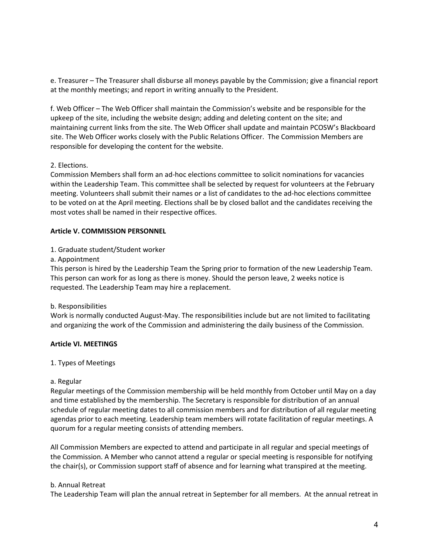e. Treasurer – The Treasurer shall disburse all moneys payable by the Commission; give a financial report at the monthly meetings; and report in writing annually to the President.

f. Web Officer – The Web Officer shall maintain the Commission's website and be responsible for the upkeep of the site, including the website design; adding and deleting content on the site; and maintaining current links from the site. The Web Officer shall update and maintain PCOSW's Blackboard site. The Web Officer works closely with the Public Relations Officer. The Commission Members are responsible for developing the content for the website.

### 2. Elections.

Commission Members shall form an ad-hoc elections committee to solicit nominations for vacancies within the Leadership Team. This committee shall be selected by request for volunteers at the February meeting. Volunteers shall submit their names or a list of candidates to the ad-hoc elections committee to be voted on at the April meeting. Elections shall be by closed ballot and the candidates receiving the most votes shall be named in their respective offices.

## **Article V. COMMISSION PERSONNEL**

## 1. Graduate student/Student worker

a. Appointment

This person is hired by the Leadership Team the Spring prior to formation of the new Leadership Team. This person can work for as long as there is money. Should the person leave, 2 weeks notice is requested. The Leadership Team may hire a replacement.

### b. Responsibilities

Work is normally conducted August-May. The responsibilities include but are not limited to facilitating and organizing the work of the Commission and administering the daily business of the Commission.

# **Article VI. MEETINGS**

### 1. Types of Meetings

### a. Regular

Regular meetings of the Commission membership will be held monthly from October until May on a day and time established by the membership. The Secretary is responsible for distribution of an annual schedule of regular meeting dates to all commission members and for distribution of all regular meeting agendas prior to each meeting. Leadership team members will rotate facilitation of regular meetings. A quorum for a regular meeting consists of attending members.

All Commission Members are expected to attend and participate in all regular and special meetings of the Commission. A Member who cannot attend a regular or special meeting is responsible for notifying the chair(s), or Commission support staff of absence and for learning what transpired at the meeting.

### b. Annual Retreat

The Leadership Team will plan the annual retreat in September for all members. At the annual retreat in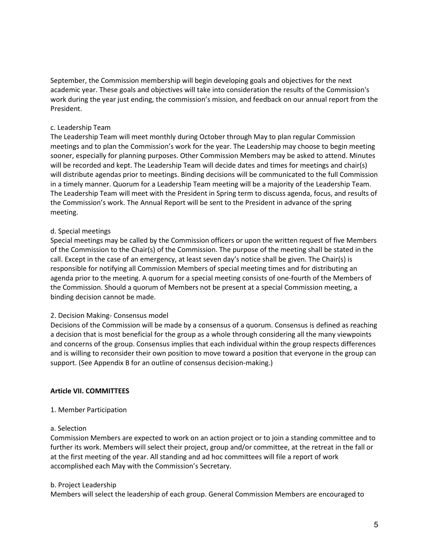September, the Commission membership will begin developing goals and objectives for the next academic year. These goals and objectives will take into consideration the results of the Commission's work during the year just ending, the commission's mission, and feedback on our annual report from the President.

## c. Leadership Team

The Leadership Team will meet monthly during October through May to plan regular Commission meetings and to plan the Commission's work for the year. The Leadership may choose to begin meeting sooner, especially for planning purposes. Other Commission Members may be asked to attend. Minutes will be recorded and kept. The Leadership Team will decide dates and times for meetings and chair(s) will distribute agendas prior to meetings. Binding decisions will be communicated to the full Commission in a timely manner. Quorum for a Leadership Team meeting will be a majority of the Leadership Team. The Leadership Team will meet with the President in Spring term to discuss agenda, focus, and results of the Commission's work. The Annual Report will be sent to the President in advance of the spring meeting.

## d. Special meetings

Special meetings may be called by the Commission officers or upon the written request of five Members of the Commission to the Chair(s) of the Commission. The purpose of the meeting shall be stated in the call. Except in the case of an emergency, at least seven day's notice shall be given. The Chair(s) is responsible for notifying all Commission Members of special meeting times and for distributing an agenda prior to the meeting. A quorum for a special meeting consists of one-fourth of the Members of the Commission. Should a quorum of Members not be present at a special Commission meeting, a binding decision cannot be made.

### 2. Decision Making- Consensus model

Decisions of the Commission will be made by a consensus of a quorum. Consensus is defined as reaching a decision that is most beneficial for the group as a whole through considering all the many viewpoints and concerns of the group. Consensus implies that each individual within the group respects differences and is willing to reconsider their own position to move toward a position that everyone in the group can support. (See Appendix B for an outline of consensus decision-making.)

### **Article VII. COMMITTEES**

### 1. Member Participation

### a. Selection

Commission Members are expected to work on an action project or to join a standing committee and to further its work. Members will select their project, group and/or committee, at the retreat in the fall or at the first meeting of the year. All standing and ad hoc committees will file a report of work accomplished each May with the Commission's Secretary.

### b. Project Leadership

Members will select the leadership of each group. General Commission Members are encouraged to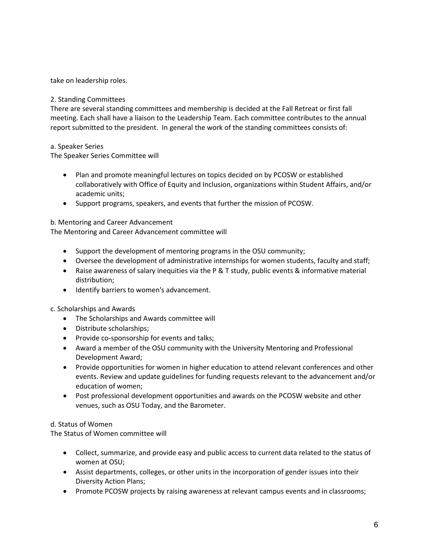take on leadership roles.

## 2. Standing Committees

There are several standing committees and membership is decided at the Fall Retreat or first fall meeting. Each shall have a liaison to the Leadership Team. Each committee contributes to the annual report submitted to the president. In general the work of the standing committees consists of:

## a. Speaker Series

The Speaker Series Committee will

- Plan and promote meaningful lectures on topics decided on by PCOSW or established collaboratively with Office of Equity and Inclusion, organizations within Student Affairs, and/or academic units;
- Support programs, speakers, and events that further the mission of PCOSW.

## b. Mentoring and Career Advancement

The Mentoring and Career Advancement committee will

- Support the development of mentoring programs in the OSU community;
- Oversee the development of administrative internships for women students, faculty and staff;
- Raise awareness of salary inequities via the P & T study, public events & informative material distribution;
- Identify barriers to women's advancement.

### c. Scholarships and Awards

- The Scholarships and Awards committee will
- Distribute scholarships;
- Provide co-sponsorship for events and talks;
- Award a member of the OSU community with the University Mentoring and Professional Development Award;
- Provide opportunities for women in higher education to attend relevant conferences and other events. Review and update guidelines for funding requests relevant to the advancement and/or education of women;
- Post professional development opportunities and awards on the PCOSW website and other venues, such as OSU Today, and the Barometer.

### d. Status of Women

The Status of Women committee will

- Collect, summarize, and provide easy and public access to current data related to the status of women at OSU;
- Assist departments, colleges, or other units in the incorporation of gender issues into their Diversity Action Plans;
- Promote PCOSW projects by raising awareness at relevant campus events and in classrooms;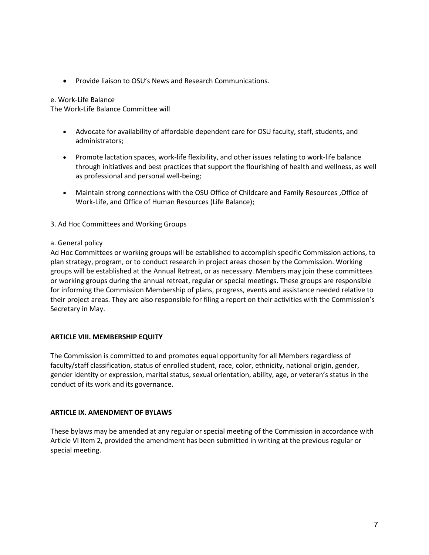• Provide liaison to OSU's News and Research Communications.

#### e. Work-Life Balance

The Work-Life Balance Committee will

- Advocate for availability of affordable dependent care for OSU faculty, staff, students, and administrators;
- Promote lactation spaces, work-life flexibility, and other issues relating to work-life balance through initiatives and best practices that support the flourishing of health and wellness, as well as professional and personal well-being;
- Maintain strong connections with the OSU Office of Childcare and Family Resources , Office of Work-Life, and Office of Human Resources (Life Balance);
- 3. Ad Hoc Committees and Working Groups

### a. General policy

Ad Hoc Committees or working groups will be established to accomplish specific Commission actions, to plan strategy, program, or to conduct research in project areas chosen by the Commission. Working groups will be established at the Annual Retreat, or as necessary. Members may join these committees or working groups during the annual retreat, regular or special meetings. These groups are responsible for informing the Commission Membership of plans, progress, events and assistance needed relative to their project areas. They are also responsible for filing a report on their activities with the Commission's Secretary in May.

### **ARTICLE VIII. MEMBERSHIP EQUITY**

The Commission is committed to and promotes equal opportunity for all Members regardless of faculty/staff classification, status of enrolled student, race, color, ethnicity, national origin, gender, gender identity or expression, marital status, sexual orientation, ability, age, or veteran's status in the conduct of its work and its governance.

### **ARTICLE IX. AMENDMENT OF BYLAWS**

These bylaws may be amended at any regular or special meeting of the Commission in accordance with Article VI Item 2, provided the amendment has been submitted in writing at the previous regular or special meeting.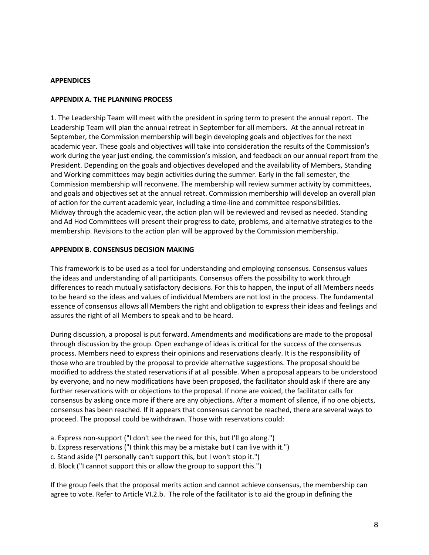### **APPENDICES**

#### **APPENDIX A. THE PLANNING PROCESS**

1. The Leadership Team will meet with the president in spring term to present the annual report. The Leadership Team will plan the annual retreat in September for all members. At the annual retreat in September, the Commission membership will begin developing goals and objectives for the next academic year. These goals and objectives will take into consideration the results of the Commission's work during the year just ending, the commission's mission, and feedback on our annual report from the President. Depending on the goals and objectives developed and the availability of Members, Standing and Working committees may begin activities during the summer. Early in the fall semester, the Commission membership will reconvene. The membership will review summer activity by committees, and goals and objectives set at the annual retreat. Commission membership will develop an overall plan of action for the current academic year, including a time-line and committee responsibilities. Midway through the academic year, the action plan will be reviewed and revised as needed. Standing and Ad Hod Committees will present their progress to date, problems, and alternative strategies to the membership. Revisions to the action plan will be approved by the Commission membership.

#### **APPENDIX B. CONSENSUS DECISION MAKING**

This framework is to be used as a tool for understanding and employing consensus. Consensus values the ideas and understanding of all participants. Consensus offers the possibility to work through differences to reach mutually satisfactory decisions. For this to happen, the input of all Members needs to be heard so the ideas and values of individual Members are not lost in the process. The fundamental essence of consensus allows all Members the right and obligation to express their ideas and feelings and assures the right of all Members to speak and to be heard.

During discussion, a proposal is put forward. Amendments and modifications are made to the proposal through discussion by the group. Open exchange of ideas is critical for the success of the consensus process. Members need to express their opinions and reservations clearly. It is the responsibility of those who are troubled by the proposal to provide alternative suggestions. The proposal should be modified to address the stated reservations if at all possible. When a proposal appears to be understood by everyone, and no new modifications have been proposed, the facilitator should ask if there are any further reservations with or objections to the proposal. If none are voiced, the facilitator calls for consensus by asking once more if there are any objections. After a moment of silence, if no one objects, consensus has been reached. If it appears that consensus cannot be reached, there are several ways to proceed. The proposal could be withdrawn. Those with reservations could:

- a. Express non-support ("I don't see the need for this, but I'll go along.")
- b. Express reservations ("I think this may be a mistake but I can live with it.")
- c. Stand aside ("I personally can't support this, but I won't stop it.")
- d. Block ("I cannot support this or allow the group to support this.")

If the group feels that the proposal merits action and cannot achieve consensus, the membership can agree to vote. Refer to Article VI.2.b. The role of the facilitator is to aid the group in defining the